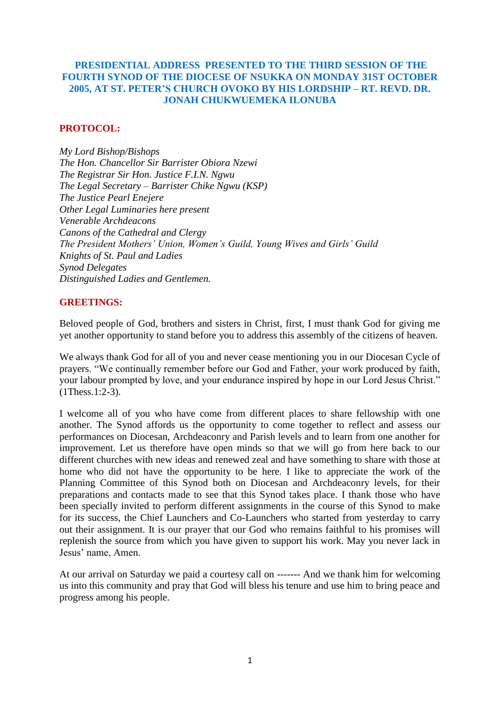# **PRESIDENTIAL ADDRESS PRESENTED TO THE THIRD SESSION OF THE FOURTH SYNOD OF THE DIOCESE OF NSUKKA ON MONDAY 31ST OCTOBER 2005, AT ST. PETER"S CHURCH OVOKO BY HIS LORDSHIP – RT. REVD. DR. JONAH CHUKWUEMEKA ILONUBA**

# **PROTOCOL:**

*My Lord Bishop/Bishops The Hon. Chancellor Sir Barrister Obiora Nzewi The Registrar Sir Hon. Justice F.I.N. Ngwu The Legal Secretary – Barrister Chike Ngwu (KSP) The Justice Pearl Enejere Other Legal Luminaries here present Venerable Archdeacons Canons of the Cathedral and Clergy The President Mothers' Union, Women's Guild, Young Wives and Girls' Guild Knights of St. Paul and Ladies Synod Delegates Distinguished Ladies and Gentlemen.*

# **GREETINGS:**

Beloved people of God, brothers and sisters in Christ, first, I must thank God for giving me yet another opportunity to stand before you to address this assembly of the citizens of heaven.

We always thank God for all of you and never cease mentioning you in our Diocesan Cycle of prayers. "We continually remember before our God and Father, your work produced by faith, your labour prompted by love, and your endurance inspired by hope in our Lord Jesus Christ." (1Thess.1:2-3).

I welcome all of you who have come from different places to share fellowship with one another. The Synod affords us the opportunity to come together to reflect and assess our performances on Diocesan, Archdeaconry and Parish levels and to learn from one another for improvement. Let us therefore have open minds so that we will go from here back to our different churches with new ideas and renewed zeal and have something to share with those at home who did not have the opportunity to be here. I like to appreciate the work of the Planning Committee of this Synod both on Diocesan and Archdeaconry levels, for their preparations and contacts made to see that this Synod takes place. I thank those who have been specially invited to perform different assignments in the course of this Synod to make for its success, the Chief Launchers and Co-Launchers who started from yesterday to carry out their assignment. It is our prayer that our God who remains faithful to his promises will replenish the source from which you have given to support his work. May you never lack in Jesus' name, Amen.

At our arrival on Saturday we paid a courtesy call on ------- And we thank him for welcoming us into this community and pray that God will bless his tenure and use him to bring peace and progress among his people.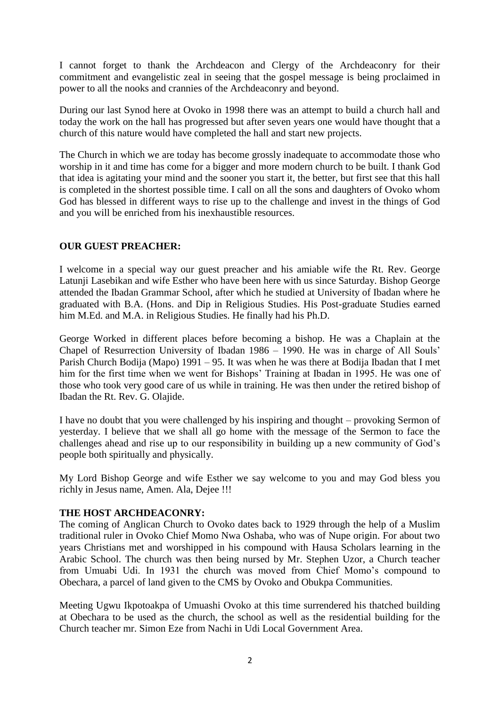I cannot forget to thank the Archdeacon and Clergy of the Archdeaconry for their commitment and evangelistic zeal in seeing that the gospel message is being proclaimed in power to all the nooks and crannies of the Archdeaconry and beyond.

During our last Synod here at Ovoko in 1998 there was an attempt to build a church hall and today the work on the hall has progressed but after seven years one would have thought that a church of this nature would have completed the hall and start new projects.

The Church in which we are today has become grossly inadequate to accommodate those who worship in it and time has come for a bigger and more modern church to be built. I thank God that idea is agitating your mind and the sooner you start it, the better, but first see that this hall is completed in the shortest possible time. I call on all the sons and daughters of Ovoko whom God has blessed in different ways to rise up to the challenge and invest in the things of God and you will be enriched from his inexhaustible resources.

# **OUR GUEST PREACHER:**

I welcome in a special way our guest preacher and his amiable wife the Rt. Rev. George Latunji Lasebikan and wife Esther who have been here with us since Saturday. Bishop George attended the Ibadan Grammar School, after which he studied at University of Ibadan where he graduated with B.A. (Hons. and Dip in Religious Studies. His Post-graduate Studies earned him M.Ed. and M.A. in Religious Studies. He finally had his Ph.D.

George Worked in different places before becoming a bishop. He was a Chaplain at the Chapel of Resurrection University of Ibadan 1986 – 1990. He was in charge of All Souls" Parish Church Bodija (Mapo) 1991 – 95. It was when he was there at Bodija Ibadan that I met him for the first time when we went for Bishops' Training at Ibadan in 1995. He was one of those who took very good care of us while in training. He was then under the retired bishop of Ibadan the Rt. Rev. G. Olajide.

I have no doubt that you were challenged by his inspiring and thought – provoking Sermon of yesterday. I believe that we shall all go home with the message of the Sermon to face the challenges ahead and rise up to our responsibility in building up a new community of God"s people both spiritually and physically.

My Lord Bishop George and wife Esther we say welcome to you and may God bless you richly in Jesus name, Amen. Ala, Dejee !!!

# **THE HOST ARCHDEACONRY:**

The coming of Anglican Church to Ovoko dates back to 1929 through the help of a Muslim traditional ruler in Ovoko Chief Momo Nwa Oshaba, who was of Nupe origin. For about two years Christians met and worshipped in his compound with Hausa Scholars learning in the Arabic School. The church was then being nursed by Mr. Stephen Uzor, a Church teacher from Umuabi Udi. In 1931 the church was moved from Chief Momo"s compound to Obechara, a parcel of land given to the CMS by Ovoko and Obukpa Communities.

Meeting Ugwu Ikpotoakpa of Umuashi Ovoko at this time surrendered his thatched building at Obechara to be used as the church, the school as well as the residential building for the Church teacher mr. Simon Eze from Nachi in Udi Local Government Area.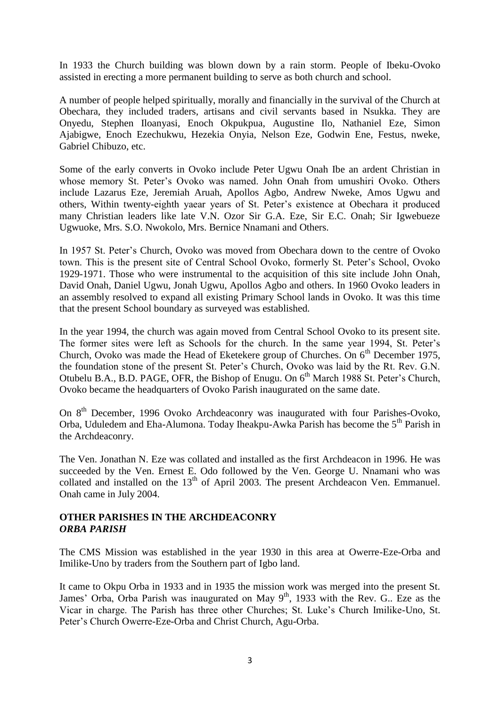In 1933 the Church building was blown down by a rain storm. People of Ibeku-Ovoko assisted in erecting a more permanent building to serve as both church and school.

A number of people helped spiritually, morally and financially in the survival of the Church at Obechara, they included traders, artisans and civil servants based in Nsukka. They are Onyedu, Stephen Iloanyasi, Enoch Okpukpua, Augustine Ilo, Nathaniel Eze, Simon Ajabigwe, Enoch Ezechukwu, Hezekia Onyia, Nelson Eze, Godwin Ene, Festus, nweke, Gabriel Chibuzo, etc.

Some of the early converts in Ovoko include Peter Ugwu Onah Ibe an ardent Christian in whose memory St. Peter's Ovoko was named. John Onah from umushiri Ovoko. Others include Lazarus Eze, Jeremiah Aruah, Apollos Agbo, Andrew Nweke, Amos Ugwu and others, Within twenty-eighth yaear years of St. Peter"s existence at Obechara it produced many Christian leaders like late V.N. Ozor Sir G.A. Eze, Sir E.C. Onah; Sir Igwebueze Ugwuoke, Mrs. S.O. Nwokolo, Mrs. Bernice Nnamani and Others.

In 1957 St. Peter"s Church, Ovoko was moved from Obechara down to the centre of Ovoko town. This is the present site of Central School Ovoko, formerly St. Peter"s School, Ovoko 1929-1971. Those who were instrumental to the acquisition of this site include John Onah, David Onah, Daniel Ugwu, Jonah Ugwu, Apollos Agbo and others. In 1960 Ovoko leaders in an assembly resolved to expand all existing Primary School lands in Ovoko. It was this time that the present School boundary as surveyed was established.

In the year 1994, the church was again moved from Central School Ovoko to its present site. The former sites were left as Schools for the church. In the same year 1994, St. Peter's Church, Ovoko was made the Head of Eketekere group of Churches. On  $6<sup>th</sup>$  December 1975, the foundation stone of the present St. Peter"s Church, Ovoko was laid by the Rt. Rev. G.N. Otubelu B.A., B.D. PAGE, OFR, the Bishop of Enugu. On  $6<sup>th</sup>$  March 1988 St. Peter's Church, Ovoko became the headquarters of Ovoko Parish inaugurated on the same date.

On 8<sup>th</sup> December, 1996 Ovoko Archdeaconry was inaugurated with four Parishes-Ovoko, Orba, Uduledem and Eha-Alumona. Today Iheakpu-Awka Parish has become the 5<sup>th</sup> Parish in the Archdeaconry.

The Ven. Jonathan N. Eze was collated and installed as the first Archdeacon in 1996. He was succeeded by the Ven. Ernest E. Odo followed by the Ven. George U. Nnamani who was collated and installed on the 13<sup>th</sup> of April 2003. The present Archdeacon Ven. Emmanuel. Onah came in July 2004.

# **OTHER PARISHES IN THE ARCHDEACONRY**  *ORBA PARISH*

The CMS Mission was established in the year 1930 in this area at Owerre-Eze-Orba and Imilike-Uno by traders from the Southern part of Igbo land.

It came to Okpu Orba in 1933 and in 1935 the mission work was merged into the present St. James' Orba, Orba Parish was inaugurated on May 9<sup>th</sup>, 1933 with the Rev. G.. Eze as the Vicar in charge. The Parish has three other Churches; St. Luke"s Church Imilike-Uno, St. Peter"s Church Owerre-Eze-Orba and Christ Church, Agu-Orba.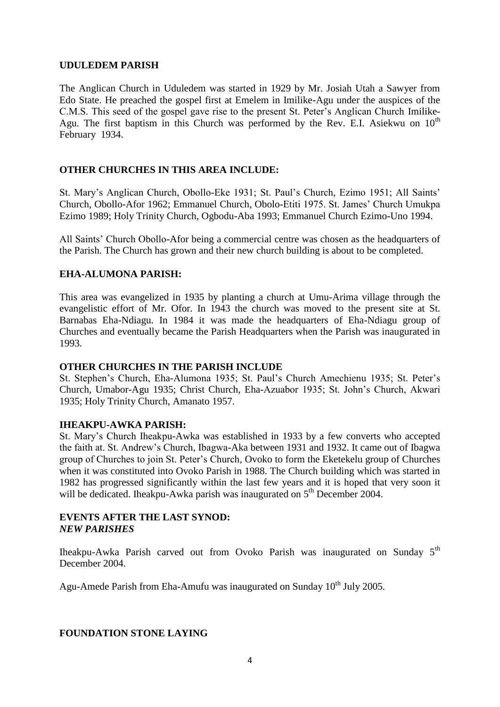# **UDULEDEM PARISH**

The Anglican Church in Uduledem was started in 1929 by Mr. Josiah Utah a Sawyer from Edo State. He preached the gospel first at Emelem in Imilike-Agu under the auspices of the C.M.S. This seed of the gospel gave rise to the present St. Peter"s Anglican Church Imilike-Agu. The first baptism in this Church was performed by the Rev. E.I. Asiekwu on  $10^{th}$ February 1934.

# **OTHER CHURCHES IN THIS AREA INCLUDE:**

St. Mary's Anglican Church, Obollo-Eke 1931; St. Paul's Church, Ezimo 1951; All Saints' Church, Obollo-Afor 1962; Emmanuel Church, Obolo-Etiti 1975. St. James" Church Umukpa Ezimo 1989; Holy Trinity Church, Ogbodu-Aba 1993; Emmanuel Church Ezimo-Uno 1994.

All Saints' Church Obollo-Afor being a commercial centre was chosen as the headquarters of the Parish. The Church has grown and their new church building is about to be completed.

# **EHA-ALUMONA PARISH:**

This area was evangelized in 1935 by planting a church at Umu-Arima village through the evangelistic effort of Mr. Ofor. In 1943 the church was moved to the present site at St. Barnabas Eha-Ndiagu. In 1984 it was made the headquarters of Eha-Ndiagu group of Churches and eventually became the Parish Headquarters when the Parish was inaugurated in 1993.

# **OTHER CHURCHES IN THE PARISH INCLUDE**

St. Stephen"s Church, Eha-Alumona 1935; St. Paul"s Church Amechienu 1935; St. Peter"s Church, Umabor-Agu 1935; Christ Church, Eha-Azuabor 1935; St. John"s Church, Akwari 1935; Holy Trinity Church, Amanato 1957.

# **IHEAKPU-AWKA PARISH:**

St. Mary"s Church Iheakpu-Awka was established in 1933 by a few converts who accepted the faith at. St. Andrew"s Church, Ibagwa-Aka between 1931 and 1932. It came out of Ibagwa group of Churches to join St. Peter"s Church, Ovoko to form the Eketekelu group of Churches when it was constituted into Ovoko Parish in 1988. The Church building which was started in 1982 has progressed significantly within the last few years and it is hoped that very soon it will be dedicated. Iheakpu-Awka parish was inaugurated on 5<sup>th</sup> December 2004.

# **EVENTS AFTER THE LAST SYNOD:** *NEW PARISHES*

Iheakpu-Awka Parish carved out from Ovoko Parish was inaugurated on Sunday 5<sup>th</sup> December 2004.

Agu-Amede Parish from Eha-Amufu was inaugurated on Sunday  $10^{th}$  July 2005.

# **FOUNDATION STONE LAYING**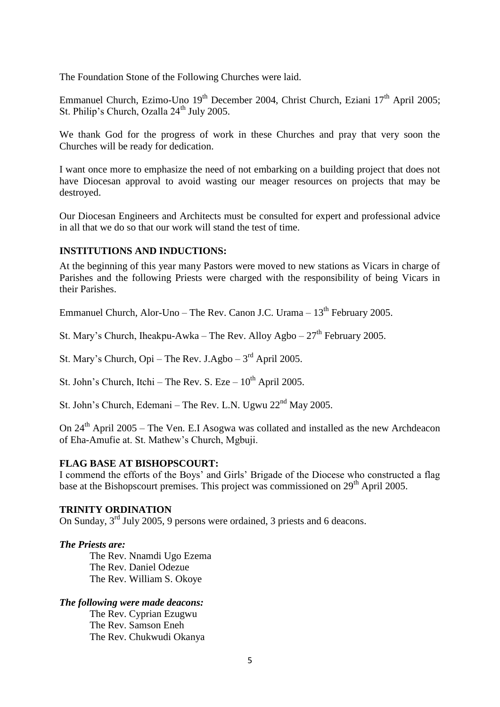The Foundation Stone of the Following Churches were laid.

Emmanuel Church, Ezimo-Uno  $19<sup>th</sup>$  December 2004, Christ Church, Eziani  $17<sup>th</sup>$  April 2005; St. Philip's Church, Ozalla  $24<sup>th</sup>$  July 2005.

We thank God for the progress of work in these Churches and pray that very soon the Churches will be ready for dedication.

I want once more to emphasize the need of not embarking on a building project that does not have Diocesan approval to avoid wasting our meager resources on projects that may be destroyed.

Our Diocesan Engineers and Architects must be consulted for expert and professional advice in all that we do so that our work will stand the test of time.

#### **INSTITUTIONS AND INDUCTIONS:**

At the beginning of this year many Pastors were moved to new stations as Vicars in charge of Parishes and the following Priests were charged with the responsibility of being Vicars in their Parishes.

Emmanuel Church, Alor-Uno – The Rev. Canon J.C. Urama –  $13<sup>th</sup>$  February 2005.

St. Mary's Church, Iheakpu-Awka – The Rev. Alloy Agbo –  $27<sup>th</sup>$  February 2005.

St. Mary's Church, Opi – The Rev. J.Agbo –  $3<sup>rd</sup>$  April 2005.

St. John's Church, Itchi – The Rev. S. Eze –  $10^{th}$  April 2005.

St. John's Church, Edemani – The Rev. L.N. Ugwu  $22<sup>nd</sup>$  May 2005.

On 24th April 2005 – The Ven. E.I Asogwa was collated and installed as the new Archdeacon of Eha-Amufie at. St. Mathew"s Church, Mgbuji.

#### **FLAG BASE AT BISHOPSCOURT:**

I commend the efforts of the Boys" and Girls" Brigade of the Diocese who constructed a flag base at the Bishopscourt premises. This project was commissioned on 29<sup>th</sup> April 2005.

### **TRINITY ORDINATION**

On Sunday, 3<sup>rd</sup> July 2005, 9 persons were ordained, 3 priests and 6 deacons.

#### *The Priests are:*

The Rev. Nnamdi Ugo Ezema The Rev. Daniel Odezue The Rev. William S. Okoye

#### *The following were made deacons:*

The Rev. Cyprian Ezugwu The Rev. Samson Eneh The Rev. Chukwudi Okanya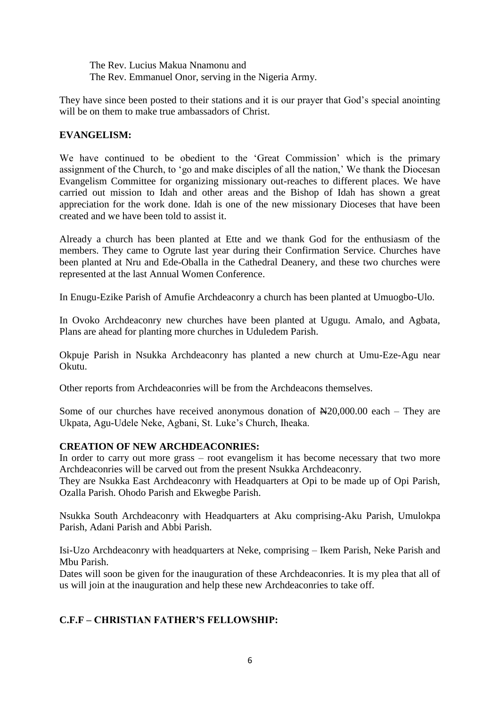The Rev. Lucius Makua Nnamonu and The Rev. Emmanuel Onor, serving in the Nigeria Army.

They have since been posted to their stations and it is our prayer that God's special anointing will be on them to make true ambassadors of Christ.

# **EVANGELISM:**

We have continued to be obedient to the 'Great Commission' which is the primary assignment of the Church, to 'go and make disciples of all the nation,' We thank the Diocesan Evangelism Committee for organizing missionary out-reaches to different places. We have carried out mission to Idah and other areas and the Bishop of Idah has shown a great appreciation for the work done. Idah is one of the new missionary Dioceses that have been created and we have been told to assist it.

Already a church has been planted at Ette and we thank God for the enthusiasm of the members. They came to Ogrute last year during their Confirmation Service. Churches have been planted at Nru and Ede-Oballa in the Cathedral Deanery, and these two churches were represented at the last Annual Women Conference.

In Enugu-Ezike Parish of Amufie Archdeaconry a church has been planted at Umuogbo-Ulo.

In Ovoko Archdeaconry new churches have been planted at Ugugu. Amalo, and Agbata, Plans are ahead for planting more churches in Uduledem Parish.

Okpuje Parish in Nsukka Archdeaconry has planted a new church at Umu-Eze-Agu near Okutu.

Other reports from Archdeaconries will be from the Archdeacons themselves.

Some of our churches have received anonymous donation of  $\text{H20,000,00}$  each – They are Ukpata, Agu-Udele Neke, Agbani, St. Luke"s Church, Iheaka.

# **CREATION OF NEW ARCHDEACONRIES:**

In order to carry out more grass – root evangelism it has become necessary that two more Archdeaconries will be carved out from the present Nsukka Archdeaconry.

They are Nsukka East Archdeaconry with Headquarters at Opi to be made up of Opi Parish, Ozalla Parish. Ohodo Parish and Ekwegbe Parish.

Nsukka South Archdeaconry with Headquarters at Aku comprising-Aku Parish, Umulokpa Parish, Adani Parish and Abbi Parish.

Isi-Uzo Archdeaconry with headquarters at Neke, comprising – Ikem Parish, Neke Parish and Mbu Parish.

Dates will soon be given for the inauguration of these Archdeaconries. It is my plea that all of us will join at the inauguration and help these new Archdeaconries to take off.

# **C.F.F – CHRISTIAN FATHER"S FELLOWSHIP:**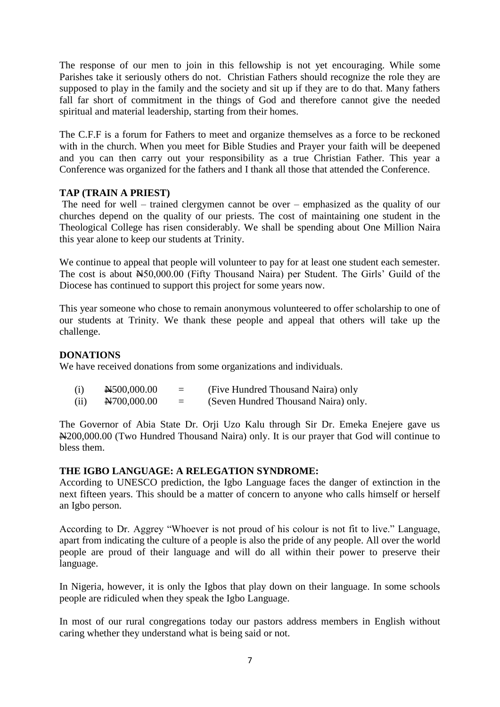The response of our men to join in this fellowship is not yet encouraging. While some Parishes take it seriously others do not. Christian Fathers should recognize the role they are supposed to play in the family and the society and sit up if they are to do that. Many fathers fall far short of commitment in the things of God and therefore cannot give the needed spiritual and material leadership, starting from their homes.

The C.F.F is a forum for Fathers to meet and organize themselves as a force to be reckoned with in the church. When you meet for Bible Studies and Prayer your faith will be deepened and you can then carry out your responsibility as a true Christian Father. This year a Conference was organized for the fathers and I thank all those that attended the Conference.

# **TAP (TRAIN A PRIEST)**

The need for well – trained clergymen cannot be over – emphasized as the quality of our churches depend on the quality of our priests. The cost of maintaining one student in the Theological College has risen considerably. We shall be spending about One Million Naira this year alone to keep our students at Trinity.

We continue to appeal that people will volunteer to pay for at least one student each semester. The cost is about  $\text{\#}50,000.00$  (Fifty Thousand Naira) per Student. The Girls' Guild of the Diocese has continued to support this project for some years now.

This year someone who chose to remain anonymous volunteered to offer scholarship to one of our students at Trinity. We thank these people and appeal that others will take up the challenge.

# **DONATIONS**

We have received donations from some organizations and individuals.

| (i)  | N500,000.00 | $=$ | (Five Hundred Thousand Naira) only   |
|------|-------------|-----|--------------------------------------|
| (ii) | N700,000.00 | $=$ | (Seven Hundred Thousand Naira) only. |

The Governor of Abia State Dr. Orji Uzo Kalu through Sir Dr. Emeka Enejere gave us N200,000.00 (Two Hundred Thousand Naira) only. It is our prayer that God will continue to bless them.

# **THE IGBO LANGUAGE: A RELEGATION SYNDROME:**

According to UNESCO prediction, the Igbo Language faces the danger of extinction in the next fifteen years. This should be a matter of concern to anyone who calls himself or herself an Igbo person.

According to Dr. Aggrey "Whoever is not proud of his colour is not fit to live." Language, apart from indicating the culture of a people is also the pride of any people. All over the world people are proud of their language and will do all within their power to preserve their language.

In Nigeria, however, it is only the Igbos that play down on their language. In some schools people are ridiculed when they speak the Igbo Language.

In most of our rural congregations today our pastors address members in English without caring whether they understand what is being said or not.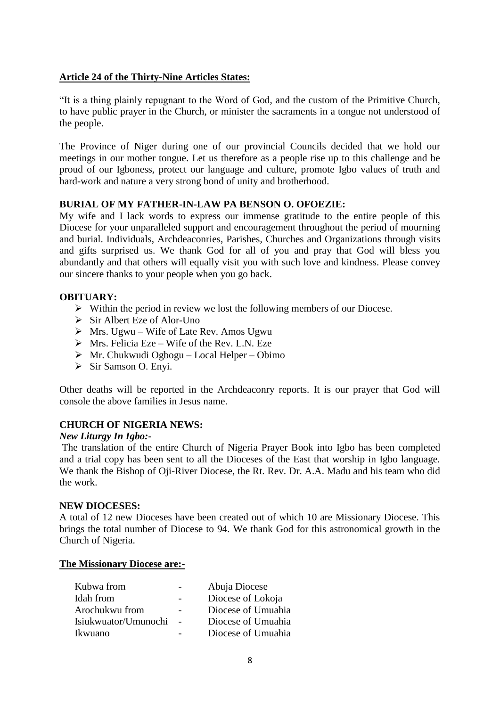# **Article 24 of the Thirty-Nine Articles States:**

"It is a thing plainly repugnant to the Word of God, and the custom of the Primitive Church, to have public prayer in the Church, or minister the sacraments in a tongue not understood of the people.

The Province of Niger during one of our provincial Councils decided that we hold our meetings in our mother tongue. Let us therefore as a people rise up to this challenge and be proud of our Igboness, protect our language and culture, promote Igbo values of truth and hard-work and nature a very strong bond of unity and brotherhood.

# **BURIAL OF MY FATHER-IN-LAW PA BENSON O. OFOEZIE:**

My wife and I lack words to express our immense gratitude to the entire people of this Diocese for your unparalleled support and encouragement throughout the period of mourning and burial. Individuals, Archdeaconries, Parishes, Churches and Organizations through visits and gifts surprised us. We thank God for all of you and pray that God will bless you abundantly and that others will equally visit you with such love and kindness. Please convey our sincere thanks to your people when you go back.

# **OBITUARY:**

- $\triangleright$  Within the period in review we lost the following members of our Diocese.
- $\triangleright$  Sir Albert Eze of Alor-Uno
- $\triangleright$  Mrs. Ugwu Wife of Late Rev. Amos Ugwu
- $\triangleright$  Mrs. Felicia Eze Wife of the Rev. L.N. Eze
- $\triangleright$  Mr. Chukwudi Ogbogu Local Helper Obimo
- $\triangleright$  Sir Samson O. Enyi.

Other deaths will be reported in the Archdeaconry reports. It is our prayer that God will console the above families in Jesus name.

# **CHURCH OF NIGERIA NEWS:**

# *New Liturgy In Igbo:-*

The translation of the entire Church of Nigeria Prayer Book into Igbo has been completed and a trial copy has been sent to all the Dioceses of the East that worship in Igbo language. We thank the Bishop of Oji-River Diocese, the Rt. Rev. Dr. A.A. Madu and his team who did the work.

# **NEW DIOCESES:**

A total of 12 new Dioceses have been created out of which 10 are Missionary Diocese. This brings the total number of Diocese to 94. We thank God for this astronomical growth in the Church of Nigeria.

#### **The Missionary Diocese are:-**

| Kubwa from           | Abuja Diocese      |
|----------------------|--------------------|
| Idah from            | Diocese of Lokoja  |
| Arochukwu from       | Diocese of Umuahia |
| Isiukwuator/Umunochi | Diocese of Umuahia |
| Ikwuano              | Diocese of Umuahia |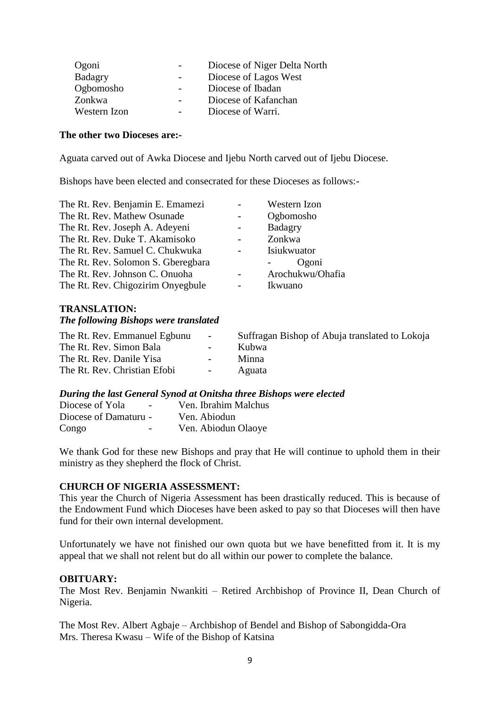| Ogoni        |                          | Diocese of Niger Delta North |
|--------------|--------------------------|------------------------------|
| Badagry      | $\overline{\phantom{0}}$ | Diocese of Lagos West        |
| Ogbomosho    |                          | Diocese of Ibadan            |
| Zonkwa       |                          | Diocese of Kafanchan         |
| Western Izon |                          | Diocese of Warri.            |

#### **The other two Dioceses are:-**

Aguata carved out of Awka Diocese and Ijebu North carved out of Ijebu Diocese.

Bishops have been elected and consecrated for these Dioceses as follows:-

| The Rt. Rev. Benjamin E. Emamezi   |                          | Western Izon     |
|------------------------------------|--------------------------|------------------|
| The Rt. Rev. Mathew Osunade        |                          | Ogbomosho        |
| The Rt. Rev. Joseph A. Adeyeni     | $\sim$ 100 $\mu$         | Badagry          |
| The Rt. Rev. Duke T. Akamisoko     | $\overline{\phantom{a}}$ | Zonkwa           |
| The Rt. Rev. Samuel C. Chukwuka    |                          | Isiukwuator      |
| The Rt. Rev. Solomon S. Gberegbara |                          | Ogoni            |
| The Rt. Rev. Johnson C. Onuoha     | $\sim$ 10 $\pm$          | Arochukwu/Ohafia |
| The Rt. Rev. Chigozirim Onyegbule  |                          | Ikwuano          |
|                                    |                          |                  |

#### **TRANSLATION:**

#### *The following Bishops were translated*

| The Rt. Rev. Emmanuel Egbunu | $\sim$                   | Suffragan Bishop of Abuja translated to Lokoja |
|------------------------------|--------------------------|------------------------------------------------|
| The Rt. Rev. Simon Bala      | $\overline{\phantom{0}}$ | Kubwa                                          |
| The Rt. Rev. Danile Yisa     | $\overline{\phantom{0}}$ | Minna                                          |
| The Rt. Rev. Christian Efobi | $\sim$ $-$               | Aguata                                         |

#### *During the last General Synod at Onitsha three Bishops were elected*

| Diocese of Yola       | $\overline{\phantom{0}}$ | Ven. Ibrahim Malchus |
|-----------------------|--------------------------|----------------------|
| Diocese of Damaturu - |                          | Ven. Abiodun         |
| Congo                 | $\overline{\phantom{0}}$ | Ven. Abiodun Olaoye  |

We thank God for these new Bishops and pray that He will continue to uphold them in their ministry as they shepherd the flock of Christ.

#### **CHURCH OF NIGERIA ASSESSMENT:**

This year the Church of Nigeria Assessment has been drastically reduced. This is because of the Endowment Fund which Dioceses have been asked to pay so that Dioceses will then have fund for their own internal development.

Unfortunately we have not finished our own quota but we have benefitted from it. It is my appeal that we shall not relent but do all within our power to complete the balance.

#### **OBITUARY:**

The Most Rev. Benjamin Nwankiti – Retired Archbishop of Province II, Dean Church of Nigeria.

The Most Rev. Albert Agbaje – Archbishop of Bendel and Bishop of Sabongidda-Ora Mrs. Theresa Kwasu – Wife of the Bishop of Katsina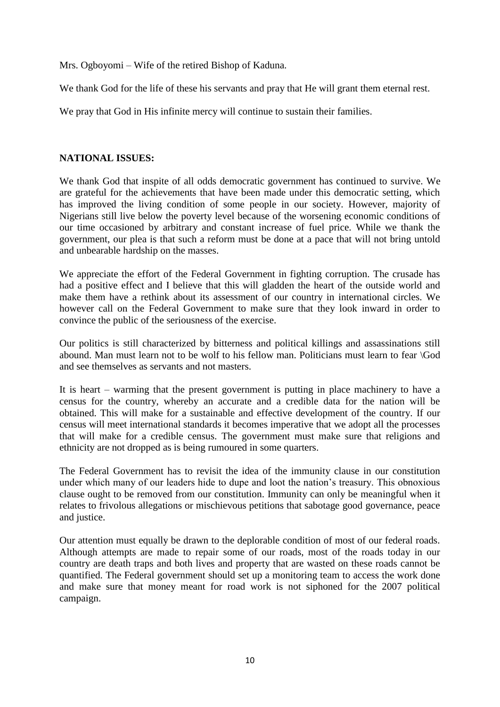Mrs. Ogboyomi – Wife of the retired Bishop of Kaduna.

We thank God for the life of these his servants and pray that He will grant them eternal rest.

We pray that God in His infinite mercy will continue to sustain their families.

# **NATIONAL ISSUES:**

We thank God that inspite of all odds democratic government has continued to survive. We are grateful for the achievements that have been made under this democratic setting, which has improved the living condition of some people in our society. However, majority of Nigerians still live below the poverty level because of the worsening economic conditions of our time occasioned by arbitrary and constant increase of fuel price. While we thank the government, our plea is that such a reform must be done at a pace that will not bring untold and unbearable hardship on the masses.

We appreciate the effort of the Federal Government in fighting corruption. The crusade has had a positive effect and I believe that this will gladden the heart of the outside world and make them have a rethink about its assessment of our country in international circles. We however call on the Federal Government to make sure that they look inward in order to convince the public of the seriousness of the exercise.

Our politics is still characterized by bitterness and political killings and assassinations still abound. Man must learn not to be wolf to his fellow man. Politicians must learn to fear \God and see themselves as servants and not masters.

It is heart – warming that the present government is putting in place machinery to have a census for the country, whereby an accurate and a credible data for the nation will be obtained. This will make for a sustainable and effective development of the country. If our census will meet international standards it becomes imperative that we adopt all the processes that will make for a credible census. The government must make sure that religions and ethnicity are not dropped as is being rumoured in some quarters.

The Federal Government has to revisit the idea of the immunity clause in our constitution under which many of our leaders hide to dupe and loot the nation"s treasury. This obnoxious clause ought to be removed from our constitution. Immunity can only be meaningful when it relates to frivolous allegations or mischievous petitions that sabotage good governance, peace and justice.

Our attention must equally be drawn to the deplorable condition of most of our federal roads. Although attempts are made to repair some of our roads, most of the roads today in our country are death traps and both lives and property that are wasted on these roads cannot be quantified. The Federal government should set up a monitoring team to access the work done and make sure that money meant for road work is not siphoned for the 2007 political campaign.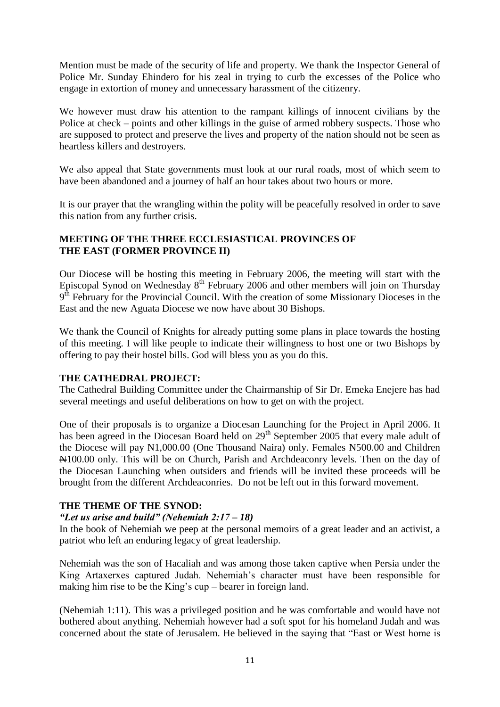Mention must be made of the security of life and property. We thank the Inspector General of Police Mr. Sunday Ehindero for his zeal in trying to curb the excesses of the Police who engage in extortion of money and unnecessary harassment of the citizenry.

We however must draw his attention to the rampant killings of innocent civilians by the Police at check – points and other killings in the guise of armed robbery suspects. Those who are supposed to protect and preserve the lives and property of the nation should not be seen as heartless killers and destroyers.

We also appeal that State governments must look at our rural roads, most of which seem to have been abandoned and a journey of half an hour takes about two hours or more.

It is our prayer that the wrangling within the polity will be peacefully resolved in order to save this nation from any further crisis.

# **MEETING OF THE THREE ECCLESIASTICAL PROVINCES OF THE EAST (FORMER PROVINCE II)**

Our Diocese will be hosting this meeting in February 2006, the meeting will start with the Episcopal Synod on Wednesday 8th February 2006 and other members will join on Thursday 9<sup>th</sup> February for the Provincial Council. With the creation of some Missionary Dioceses in the East and the new Aguata Diocese we now have about 30 Bishops.

We thank the Council of Knights for already putting some plans in place towards the hosting of this meeting. I will like people to indicate their willingness to host one or two Bishops by offering to pay their hostel bills. God will bless you as you do this.

# **THE CATHEDRAL PROJECT:**

The Cathedral Building Committee under the Chairmanship of Sir Dr. Emeka Enejere has had several meetings and useful deliberations on how to get on with the project.

One of their proposals is to organize a Diocesan Launching for the Project in April 2006. It has been agreed in the Diocesan Board held on 29<sup>th</sup> September 2005 that every male adult of the Diocese will pay  $\mathbb{H}1,000.00$  (One Thousand Naira) only. Females  $\mathbb{H}500.00$  and Children N100.00 only. This will be on Church, Parish and Archdeaconry levels. Then on the day of the Diocesan Launching when outsiders and friends will be invited these proceeds will be brought from the different Archdeaconries. Do not be left out in this forward movement.

# **THE THEME OF THE SYNOD:**

# *"Let us arise and build" (Nehemiah 2:17 – 18)*

In the book of Nehemiah we peep at the personal memoirs of a great leader and an activist, a patriot who left an enduring legacy of great leadership.

Nehemiah was the son of Hacaliah and was among those taken captive when Persia under the King Artaxerxes captured Judah. Nehemiah's character must have been responsible for making him rise to be the King's cup – bearer in foreign land.

(Nehemiah 1:11). This was a privileged position and he was comfortable and would have not bothered about anything. Nehemiah however had a soft spot for his homeland Judah and was concerned about the state of Jerusalem. He believed in the saying that "East or West home is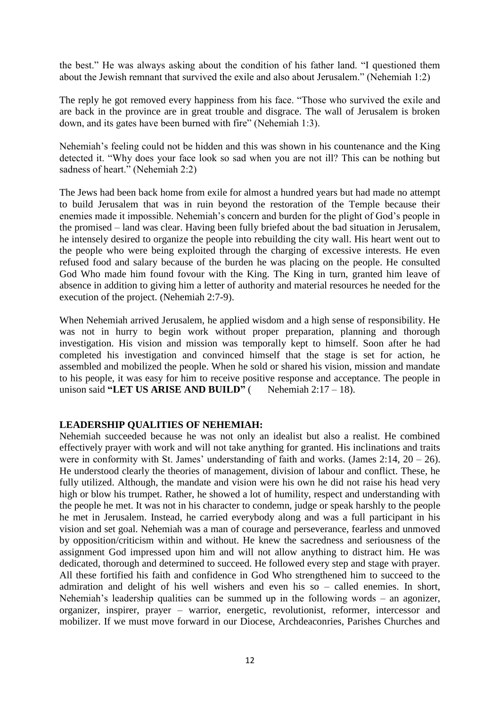the best." He was always asking about the condition of his father land. "I questioned them about the Jewish remnant that survived the exile and also about Jerusalem." (Nehemiah 1:2)

The reply he got removed every happiness from his face. "Those who survived the exile and are back in the province are in great trouble and disgrace. The wall of Jerusalem is broken down, and its gates have been burned with fire" (Nehemiah 1:3).

Nehemiah"s feeling could not be hidden and this was shown in his countenance and the King detected it. "Why does your face look so sad when you are not ill? This can be nothing but sadness of heart." (Nehemiah 2:2)

The Jews had been back home from exile for almost a hundred years but had made no attempt to build Jerusalem that was in ruin beyond the restoration of the Temple because their enemies made it impossible. Nehemiah's concern and burden for the plight of God's people in the promised – land was clear. Having been fully briefed about the bad situation in Jerusalem, he intensely desired to organize the people into rebuilding the city wall. His heart went out to the people who were being exploited through the charging of excessive interests. He even refused food and salary because of the burden he was placing on the people. He consulted God Who made him found fovour with the King. The King in turn, granted him leave of absence in addition to giving him a letter of authority and material resources he needed for the execution of the project. (Nehemiah 2:7-9).

When Nehemiah arrived Jerusalem, he applied wisdom and a high sense of responsibility. He was not in hurry to begin work without proper preparation, planning and thorough investigation. His vision and mission was temporally kept to himself. Soon after he had completed his investigation and convinced himself that the stage is set for action, he assembled and mobilized the people. When he sold or shared his vision, mission and mandate to his people, it was easy for him to receive positive response and acceptance. The people in unison said **"LET US ARISE AND BUILD"** (Nehemiah 2:17 – 18).

# **LEADERSHIP QUALITIES OF NEHEMIAH:**

Nehemiah succeeded because he was not only an idealist but also a realist. He combined effectively prayer with work and will not take anything for granted. His inclinations and traits were in conformity with St. James' understanding of faith and works. (James  $2:14$ ,  $20 - 26$ ). He understood clearly the theories of management, division of labour and conflict. These, he fully utilized. Although, the mandate and vision were his own he did not raise his head very high or blow his trumpet. Rather, he showed a lot of humility, respect and understanding with the people he met. It was not in his character to condemn, judge or speak harshly to the people he met in Jerusalem. Instead, he carried everybody along and was a full participant in his vision and set goal. Nehemiah was a man of courage and perseverance, fearless and unmoved by opposition/criticism within and without. He knew the sacredness and seriousness of the assignment God impressed upon him and will not allow anything to distract him. He was dedicated, thorough and determined to succeed. He followed every step and stage with prayer. All these fortified his faith and confidence in God Who strengthened him to succeed to the admiration and delight of his well wishers and even his so – called enemies. In short, Nehemiah"s leadership qualities can be summed up in the following words – an agonizer, organizer, inspirer, prayer – warrior, energetic, revolutionist, reformer, intercessor and mobilizer. If we must move forward in our Diocese, Archdeaconries, Parishes Churches and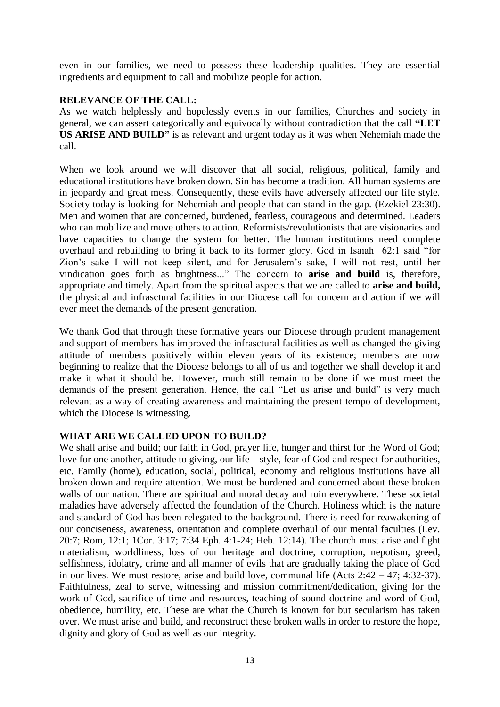even in our families, we need to possess these leadership qualities. They are essential ingredients and equipment to call and mobilize people for action.

# **RELEVANCE OF THE CALL:**

As we watch helplessly and hopelessly events in our families, Churches and society in general, we can assert categorically and equivocally without contradiction that the call **"LET US ARISE AND BUILD"** is as relevant and urgent today as it was when Nehemiah made the call.

When we look around we will discover that all social, religious, political, family and educational institutions have broken down. Sin has become a tradition. All human systems are in jeopardy and great mess. Consequently, these evils have adversely affected our life style. Society today is looking for Nehemiah and people that can stand in the gap. (Ezekiel 23:30). Men and women that are concerned, burdened, fearless, courageous and determined. Leaders who can mobilize and move others to action. Reformists/revolutionists that are visionaries and have capacities to change the system for better. The human institutions need complete overhaul and rebuilding to bring it back to its former glory. God in Isaiah 62:1 said "for Zion"s sake I will not keep silent, and for Jerusalem"s sake, I will not rest, until her vindication goes forth as brightness..." The concern to **arise and build** is, therefore, appropriate and timely. Apart from the spiritual aspects that we are called to **arise and build,** the physical and infrasctural facilities in our Diocese call for concern and action if we will ever meet the demands of the present generation.

We thank God that through these formative years our Diocese through prudent management and support of members has improved the infrasctural facilities as well as changed the giving attitude of members positively within eleven years of its existence; members are now beginning to realize that the Diocese belongs to all of us and together we shall develop it and make it what it should be. However, much still remain to be done if we must meet the demands of the present generation. Hence, the call "Let us arise and build" is very much relevant as a way of creating awareness and maintaining the present tempo of development, which the Diocese is witnessing.

# **WHAT ARE WE CALLED UPON TO BUILD?**

We shall arise and build; our faith in God, prayer life, hunger and thirst for the Word of God; love for one another, attitude to giving, our life – style, fear of God and respect for authorities, etc. Family (home), education, social, political, economy and religious institutions have all broken down and require attention. We must be burdened and concerned about these broken walls of our nation. There are spiritual and moral decay and ruin everywhere. These societal maladies have adversely affected the foundation of the Church. Holiness which is the nature and standard of God has been relegated to the background. There is need for reawakening of our conciseness, awareness, orientation and complete overhaul of our mental faculties (Lev. 20:7; Rom, 12:1; 1Cor. 3:17; 7:34 Eph. 4:1-24; Heb. 12:14). The church must arise and fight materialism, worldliness, loss of our heritage and doctrine, corruption, nepotism, greed, selfishness, idolatry, crime and all manner of evils that are gradually taking the place of God in our lives. We must restore, arise and build love, communal life (Acts 2:42 – 47; 4:32-37). Faithfulness, zeal to serve, witnessing and mission commitment/dedication, giving for the work of God, sacrifice of time and resources, teaching of sound doctrine and word of God, obedience, humility, etc. These are what the Church is known for but secularism has taken over. We must arise and build, and reconstruct these broken walls in order to restore the hope, dignity and glory of God as well as our integrity.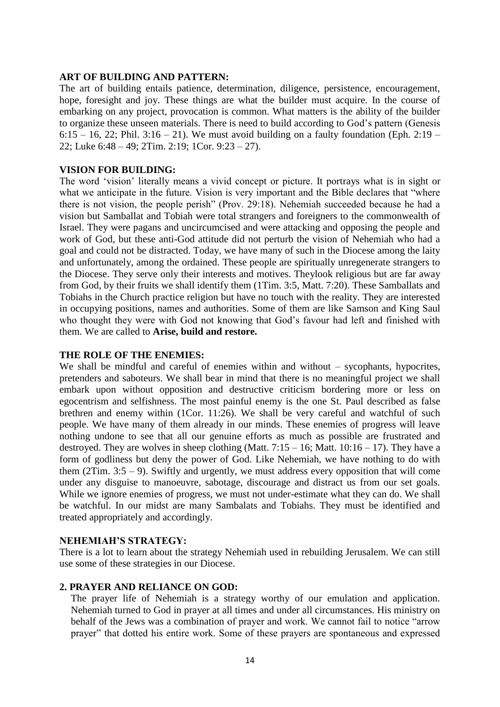#### **ART OF BUILDING AND PATTERN:**

The art of building entails patience, determination, diligence, persistence, encouragement, hope, foresight and joy. These things are what the builder must acquire. In the course of embarking on any project, provocation is common. What matters is the ability of the builder to organize these unseen materials. There is need to build according to God"s pattern (Genesis  $6:15 - 16$ , 22; Phil.  $3:16 - 21$ ). We must avoid building on a faulty foundation (Eph. 2:19 – 22; Luke 6:48 – 49; 2Tim. 2:19; 1Cor. 9:23 – 27).

### **VISION FOR BUILDING:**

The word "vision" literally means a vivid concept or picture. It portrays what is in sight or what we anticipate in the future. Vision is very important and the Bible declares that "where there is not vision, the people perish" (Prov. 29:18). Nehemiah succeeded because he had a vision but Samballat and Tobiah were total strangers and foreigners to the commonwealth of Israel. They were pagans and uncircumcised and were attacking and opposing the people and work of God, but these anti-God attitude did not perturb the vision of Nehemiah who had a goal and could not be distracted. Today, we have many of such in the Diocese among the laity and unfortunately, among the ordained. These people are spiritually unregenerate strangers to the Diocese. They serve only their interests and motives. Theylook religious but are far away from God, by their fruits we shall identify them (1Tim. 3:5, Matt. 7:20). These Samballats and Tobiahs in the Church practice religion but have no touch with the reality. They are interested in occupying positions, names and authorities. Some of them are like Samson and King Saul who thought they were with God not knowing that God"s favour had left and finished with them. We are called to **Arise, build and restore.**

#### **THE ROLE OF THE ENEMIES:**

We shall be mindful and careful of enemies within and without – sycophants, hypocrites, pretenders and saboteurs. We shall bear in mind that there is no meaningful project we shall embark upon without opposition and destructive criticism bordering more or less on egocentrism and selfishness. The most painful enemy is the one St. Paul described as false brethren and enemy within (1Cor. 11:26). We shall be very careful and watchful of such people. We have many of them already in our minds. These enemies of progress will leave nothing undone to see that all our genuine efforts as much as possible are frustrated and destroyed. They are wolves in sheep clothing (Matt.  $7:15 - 16$ ; Matt.  $10:16 - 17$ ). They have a form of godliness but deny the power of God. Like Nehemiah, we have nothing to do with them (2Tim.  $3:5 - 9$ ). Swiftly and urgently, we must address every opposition that will come under any disguise to manoeuvre, sabotage, discourage and distract us from our set goals. While we ignore enemies of progress, we must not under-estimate what they can do. We shall be watchful. In our midst are many Sambalats and Tobiahs. They must be identified and treated appropriately and accordingly.

#### **NEHEMIAH"S STRATEGY:**

There is a lot to learn about the strategy Nehemiah used in rebuilding Jerusalem. We can still use some of these strategies in our Diocese.

#### **2. PRAYER AND RELIANCE ON GOD:**

The prayer life of Nehemiah is a strategy worthy of our emulation and application. Nehemiah turned to God in prayer at all times and under all circumstances. His ministry on behalf of the Jews was a combination of prayer and work. We cannot fail to notice "arrow prayer" that dotted his entire work. Some of these prayers are spontaneous and expressed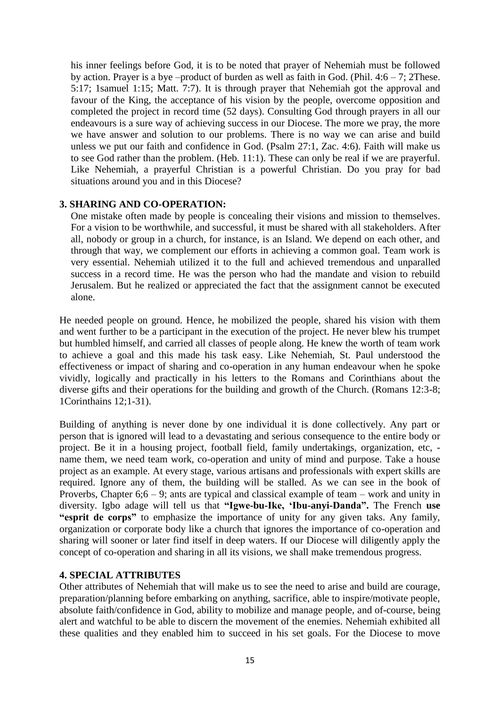his inner feelings before God, it is to be noted that prayer of Nehemiah must be followed by action. Prayer is a bye –product of burden as well as faith in God. (Phil.  $4:6 - 7$ ; 2These. 5:17; 1samuel 1:15; Matt. 7:7). It is through prayer that Nehemiah got the approval and favour of the King, the acceptance of his vision by the people, overcome opposition and completed the project in record time (52 days). Consulting God through prayers in all our endeavours is a sure way of achieving success in our Diocese. The more we pray, the more we have answer and solution to our problems. There is no way we can arise and build unless we put our faith and confidence in God. (Psalm 27:1, Zac. 4:6). Faith will make us to see God rather than the problem. (Heb. 11:1). These can only be real if we are prayerful. Like Nehemiah, a prayerful Christian is a powerful Christian. Do you pray for bad situations around you and in this Diocese?

# **3. SHARING AND CO-OPERATION:**

One mistake often made by people is concealing their visions and mission to themselves. For a vision to be worthwhile, and successful, it must be shared with all stakeholders. After all, nobody or group in a church, for instance, is an Island. We depend on each other, and through that way, we complement our efforts in achieving a common goal. Team work is very essential. Nehemiah utilized it to the full and achieved tremendous and unparalled success in a record time. He was the person who had the mandate and vision to rebuild Jerusalem. But he realized or appreciated the fact that the assignment cannot be executed alone.

He needed people on ground. Hence, he mobilized the people, shared his vision with them and went further to be a participant in the execution of the project. He never blew his trumpet but humbled himself, and carried all classes of people along. He knew the worth of team work to achieve a goal and this made his task easy. Like Nehemiah, St. Paul understood the effectiveness or impact of sharing and co-operation in any human endeavour when he spoke vividly, logically and practically in his letters to the Romans and Corinthians about the diverse gifts and their operations for the building and growth of the Church. (Romans 12:3-8; 1Corinthains 12;1-31).

Building of anything is never done by one individual it is done collectively. Any part or person that is ignored will lead to a devastating and serious consequence to the entire body or project. Be it in a housing project, football field, family undertakings, organization, etc, name them, we need team work, co-operation and unity of mind and purpose. Take a house project as an example. At every stage, various artisans and professionals with expert skills are required. Ignore any of them, the building will be stalled. As we can see in the book of Proverbs, Chapter 6;6 – 9; ants are typical and classical example of team – work and unity in diversity. Igbo adage will tell us that **"Igwe-bu-Ike, "Ibu-anyi-Danda".** The French **use "esprit de corps"** to emphasize the importance of unity for any given taks. Any family, organization or corporate body like a church that ignores the importance of co-operation and sharing will sooner or later find itself in deep waters. If our Diocese will diligently apply the concept of co-operation and sharing in all its visions, we shall make tremendous progress.

# **4. SPECIAL ATTRIBUTES**

Other attributes of Nehemiah that will make us to see the need to arise and build are courage, preparation/planning before embarking on anything, sacrifice, able to inspire/motivate people, absolute faith/confidence in God, ability to mobilize and manage people, and of-course, being alert and watchful to be able to discern the movement of the enemies. Nehemiah exhibited all these qualities and they enabled him to succeed in his set goals. For the Diocese to move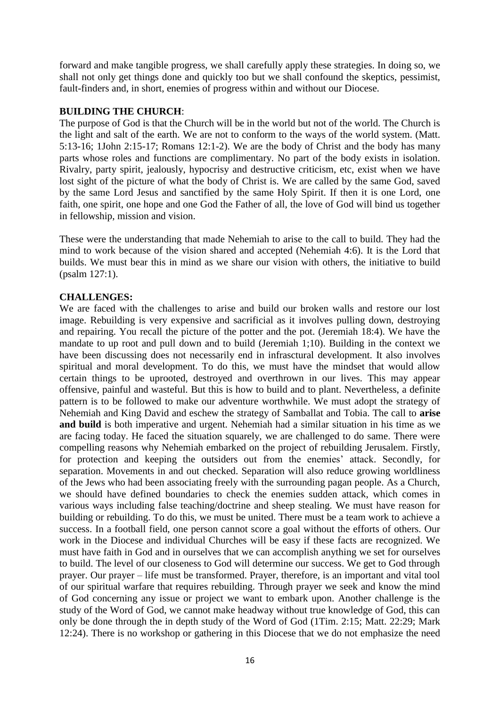forward and make tangible progress, we shall carefully apply these strategies. In doing so, we shall not only get things done and quickly too but we shall confound the skeptics, pessimist, fault-finders and, in short, enemies of progress within and without our Diocese.

# **BUILDING THE CHURCH**:

The purpose of God is that the Church will be in the world but not of the world. The Church is the light and salt of the earth. We are not to conform to the ways of the world system. (Matt. 5:13-16; 1John 2:15-17; Romans 12:1-2). We are the body of Christ and the body has many parts whose roles and functions are complimentary. No part of the body exists in isolation. Rivalry, party spirit, jealously, hypocrisy and destructive criticism, etc, exist when we have lost sight of the picture of what the body of Christ is. We are called by the same God, saved by the same Lord Jesus and sanctified by the same Holy Spirit. If then it is one Lord, one faith, one spirit, one hope and one God the Father of all, the love of God will bind us together in fellowship, mission and vision.

These were the understanding that made Nehemiah to arise to the call to build. They had the mind to work because of the vision shared and accepted (Nehemiah 4:6). It is the Lord that builds. We must bear this in mind as we share our vision with others, the initiative to build (psalm 127:1).

# **CHALLENGES:**

We are faced with the challenges to arise and build our broken walls and restore our lost image. Rebuilding is very expensive and sacrificial as it involves pulling down, destroying and repairing. You recall the picture of the potter and the pot. (Jeremiah 18:4). We have the mandate to up root and pull down and to build (Jeremiah 1;10). Building in the context we have been discussing does not necessarily end in infrasctural development. It also involves spiritual and moral development. To do this, we must have the mindset that would allow certain things to be uprooted, destroyed and overthrown in our lives. This may appear offensive, painful and wasteful. But this is how to build and to plant. Nevertheless, a definite pattern is to be followed to make our adventure worthwhile. We must adopt the strategy of Nehemiah and King David and eschew the strategy of Samballat and Tobia. The call to **arise and build** is both imperative and urgent. Nehemiah had a similar situation in his time as we are facing today. He faced the situation squarely, we are challenged to do same. There were compelling reasons why Nehemiah embarked on the project of rebuilding Jerusalem. Firstly, for protection and keeping the outsiders out from the enemies' attack. Secondly, for separation. Movements in and out checked. Separation will also reduce growing worldliness of the Jews who had been associating freely with the surrounding pagan people. As a Church, we should have defined boundaries to check the enemies sudden attack, which comes in various ways including false teaching/doctrine and sheep stealing. We must have reason for building or rebuilding. To do this, we must be united. There must be a team work to achieve a success. In a football field, one person cannot score a goal without the efforts of others. Our work in the Diocese and individual Churches will be easy if these facts are recognized. We must have faith in God and in ourselves that we can accomplish anything we set for ourselves to build. The level of our closeness to God will determine our success. We get to God through prayer. Our prayer – life must be transformed. Prayer, therefore, is an important and vital tool of our spiritual warfare that requires rebuilding. Through prayer we seek and know the mind of God concerning any issue or project we want to embark upon. Another challenge is the study of the Word of God, we cannot make headway without true knowledge of God, this can only be done through the in depth study of the Word of God (1Tim. 2:15; Matt. 22:29; Mark 12:24). There is no workshop or gathering in this Diocese that we do not emphasize the need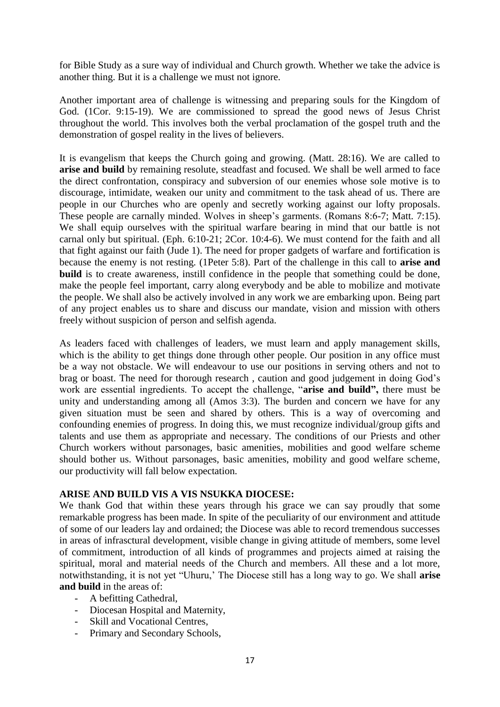for Bible Study as a sure way of individual and Church growth. Whether we take the advice is another thing. But it is a challenge we must not ignore.

Another important area of challenge is witnessing and preparing souls for the Kingdom of God. (1Cor. 9:15-19). We are commissioned to spread the good news of Jesus Christ throughout the world. This involves both the verbal proclamation of the gospel truth and the demonstration of gospel reality in the lives of believers.

It is evangelism that keeps the Church going and growing. (Matt. 28:16). We are called to **arise and build** by remaining resolute, steadfast and focused. We shall be well armed to face the direct confrontation, conspiracy and subversion of our enemies whose sole motive is to discourage, intimidate, weaken our unity and commitment to the task ahead of us. There are people in our Churches who are openly and secretly working against our lofty proposals. These people are carnally minded. Wolves in sheep's garments. (Romans 8:6-7; Matt. 7:15). We shall equip ourselves with the spiritual warfare bearing in mind that our battle is not carnal only but spiritual. (Eph. 6:10-21; 2Cor. 10:4-6). We must contend for the faith and all that fight against our faith (Jude 1). The need for proper gadgets of warfare and fortification is because the enemy is not resting. (1Peter 5:8). Part of the challenge in this call to **arise and build** is to create awareness, instill confidence in the people that something could be done, make the people feel important, carry along everybody and be able to mobilize and motivate the people. We shall also be actively involved in any work we are embarking upon. Being part of any project enables us to share and discuss our mandate, vision and mission with others freely without suspicion of person and selfish agenda.

As leaders faced with challenges of leaders, we must learn and apply management skills, which is the ability to get things done through other people. Our position in any office must be a way not obstacle. We will endeavour to use our positions in serving others and not to brag or boast. The need for thorough research , caution and good judgement in doing God"s work are essential ingredients. To accept the challenge, "**arise and build",** there must be unity and understanding among all (Amos 3:3). The burden and concern we have for any given situation must be seen and shared by others. This is a way of overcoming and confounding enemies of progress. In doing this, we must recognize individual/group gifts and talents and use them as appropriate and necessary. The conditions of our Priests and other Church workers without parsonages, basic amenities, mobilities and good welfare scheme should bother us. Without parsonages, basic amenities, mobility and good welfare scheme, our productivity will fall below expectation.

# **ARISE AND BUILD VIS A VIS NSUKKA DIOCESE:**

We thank God that within these years through his grace we can say proudly that some remarkable progress has been made. In spite of the peculiarity of our environment and attitude of some of our leaders lay and ordained; the Diocese was able to record tremendous successes in areas of infrasctural development, visible change in giving attitude of members, some level of commitment, introduction of all kinds of programmes and projects aimed at raising the spiritual, moral and material needs of the Church and members. All these and a lot more, notwithstanding, it is not yet "Uhuru," The Diocese still has a long way to go. We shall **arise and build** in the areas of:

- A befitting Cathedral,
- Diocesan Hospital and Maternity,
- Skill and Vocational Centres,
- Primary and Secondary Schools,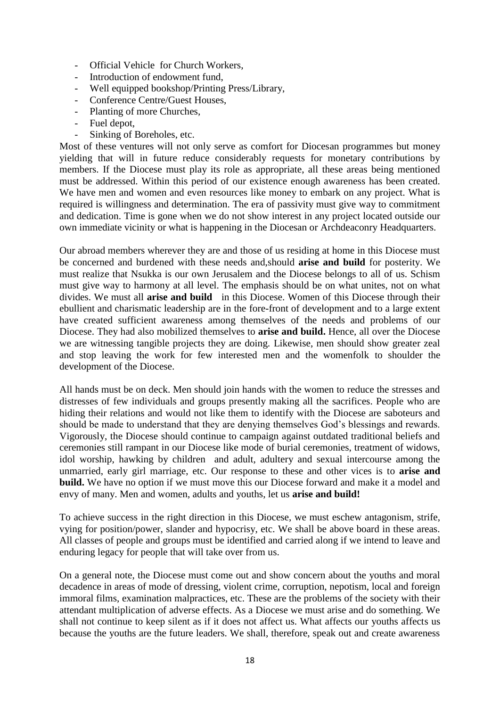- Official Vehicle for Church Workers,
- Introduction of endowment fund.
- Well equipped bookshop/Printing Press/Library,
- Conference Centre/Guest Houses,
- Planting of more Churches.
- Fuel depot,
- Sinking of Boreholes, etc.

Most of these ventures will not only serve as comfort for Diocesan programmes but money yielding that will in future reduce considerably requests for monetary contributions by members. If the Diocese must play its role as appropriate, all these areas being mentioned must be addressed. Within this period of our existence enough awareness has been created. We have men and women and even resources like money to embark on any project. What is required is willingness and determination. The era of passivity must give way to commitment and dedication. Time is gone when we do not show interest in any project located outside our own immediate vicinity or what is happening in the Diocesan or Archdeaconry Headquarters.

Our abroad members wherever they are and those of us residing at home in this Diocese must be concerned and burdened with these needs and,should **arise and build** for posterity. We must realize that Nsukka is our own Jerusalem and the Diocese belongs to all of us. Schism must give way to harmony at all level. The emphasis should be on what unites, not on what divides. We must all **arise and build** in this Diocese. Women of this Diocese through their ebullient and charismatic leadership are in the fore-front of development and to a large extent have created sufficient awareness among themselves of the needs and problems of our Diocese. They had also mobilized themselves to **arise and build.** Hence, all over the Diocese we are witnessing tangible projects they are doing. Likewise, men should show greater zeal and stop leaving the work for few interested men and the womenfolk to shoulder the development of the Diocese.

All hands must be on deck. Men should join hands with the women to reduce the stresses and distresses of few individuals and groups presently making all the sacrifices. People who are hiding their relations and would not like them to identify with the Diocese are saboteurs and should be made to understand that they are denying themselves God"s blessings and rewards. Vigorously, the Diocese should continue to campaign against outdated traditional beliefs and ceremonies still rampant in our Diocese like mode of burial ceremonies, treatment of widows, idol worship, hawking by children and adult, adultery and sexual intercourse among the unmarried, early girl marriage, etc. Our response to these and other vices is to **arise and build.** We have no option if we must move this our Diocese forward and make it a model and envy of many. Men and women, adults and youths, let us **arise and build!**

To achieve success in the right direction in this Diocese, we must eschew antagonism, strife, vying for position/power, slander and hypocrisy, etc. We shall be above board in these areas. All classes of people and groups must be identified and carried along if we intend to leave and enduring legacy for people that will take over from us.

On a general note, the Diocese must come out and show concern about the youths and moral decadence in areas of mode of dressing, violent crime, corruption, nepotism, local and foreign immoral films, examination malpractices, etc. These are the problems of the society with their attendant multiplication of adverse effects. As a Diocese we must arise and do something. We shall not continue to keep silent as if it does not affect us. What affects our youths affects us because the youths are the future leaders. We shall, therefore, speak out and create awareness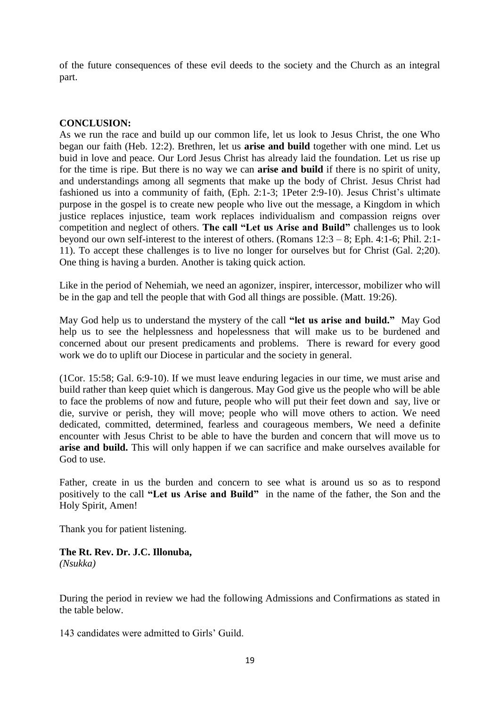of the future consequences of these evil deeds to the society and the Church as an integral part.

# **CONCLUSION:**

As we run the race and build up our common life, let us look to Jesus Christ, the one Who began our faith (Heb. 12:2). Brethren, let us **arise and build** together with one mind. Let us buid in love and peace. Our Lord Jesus Christ has already laid the foundation. Let us rise up for the time is ripe. But there is no way we can **arise and build** if there is no spirit of unity, and understandings among all segments that make up the body of Christ. Jesus Christ had fashioned us into a community of faith, (Eph. 2:1-3; 1Peter 2:9-10). Jesus Christ's ultimate purpose in the gospel is to create new people who live out the message, a Kingdom in which justice replaces injustice, team work replaces individualism and compassion reigns over competition and neglect of others. **The call "Let us Arise and Build"** challenges us to look beyond our own self-interest to the interest of others. (Romans 12:3 – 8; Eph. 4:1-6; Phil. 2:1- 11). To accept these challenges is to live no longer for ourselves but for Christ (Gal. 2;20). One thing is having a burden. Another is taking quick action.

Like in the period of Nehemiah, we need an agonizer, inspirer, intercessor, mobilizer who will be in the gap and tell the people that with God all things are possible. (Matt. 19:26).

May God help us to understand the mystery of the call **"let us arise and build."** May God help us to see the helplessness and hopelessness that will make us to be burdened and concerned about our present predicaments and problems. There is reward for every good work we do to uplift our Diocese in particular and the society in general.

(1Cor. 15:58; Gal. 6:9-10). If we must leave enduring legacies in our time, we must arise and build rather than keep quiet which is dangerous. May God give us the people who will be able to face the problems of now and future, people who will put their feet down and say, live or die, survive or perish, they will move; people who will move others to action. We need dedicated, committed, determined, fearless and courageous members, We need a definite encounter with Jesus Christ to be able to have the burden and concern that will move us to **arise and build.** This will only happen if we can sacrifice and make ourselves available for God to use.

Father, create in us the burden and concern to see what is around us so as to respond positively to the call **"Let us Arise and Build"** in the name of the father, the Son and the Holy Spirit, Amen!

Thank you for patient listening.

**The Rt. Rev. Dr. J.C. Illonuba,** *(Nsukka)*

During the period in review we had the following Admissions and Confirmations as stated in the table below.

143 candidates were admitted to Girls' Guild.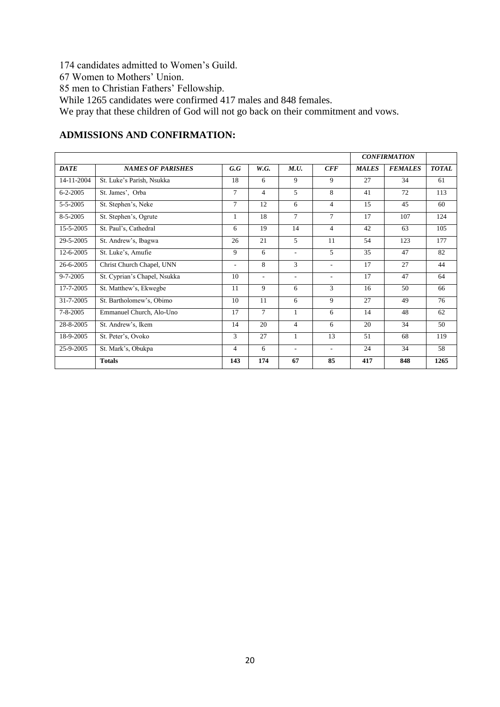174 candidates admitted to Women"s Guild.

67 Women to Mothers" Union.

85 men to Christian Fathers" Fellowship.

While 1265 candidates were confirmed 417 males and 848 females.

We pray that these children of God will not go back on their commitment and vows.

# **ADMISSIONS AND CONFIRMATION:**

|                 |                              |                |                          |                          |                          |              | <b>CONFIRMATION</b> |              |
|-----------------|------------------------------|----------------|--------------------------|--------------------------|--------------------------|--------------|---------------------|--------------|
| <b>DATE</b>     | <b>NAMES OF PARISHES</b>     | G.G            | W.G.                     | M.U.                     | CFF                      | <b>MALES</b> | <b>FEMALES</b>      | <b>TOTAL</b> |
| 14-11-2004      | St. Luke's Parish, Nsukka    | 18             | 6                        | 9                        | 9                        | 27           | 34                  | 61           |
| $6 - 2 - 2005$  | St. James', Orba             | $\overline{7}$ | $\overline{4}$           | $\mathfrak{F}$           | 8                        | 41           | 72                  | 113          |
| 5-5-2005        | St. Stephen's, Neke          | $\tau$         | 12                       | 6                        | $\overline{4}$           | 15           | 45                  | 60           |
| 8-5-2005        | St. Stephen's, Ogrute        | $\mathbf{1}$   | 18                       | $\tau$                   | $\overline{7}$           | 17           | 107                 | 124          |
| 15-5-2005       | St. Paul's, Cathedral        | 6              | 19                       | 14                       | 4                        | 42           | 63                  | 105          |
| 29-5-2005       | St. Andrew's, Ibagwa         | 26             | 21                       | 5                        | 11                       | 54           | 123                 | 177          |
| $12 - 6 - 2005$ | St. Luke's, Amufie           | 9              | 6                        | $\overline{\phantom{a}}$ | 5                        | 35           | 47                  | 82           |
| 26-6-2005       | Christ Church Chapel, UNN    | ٠              | 8                        | 3                        | $\overline{\phantom{a}}$ | 17           | 27                  | 44           |
| $9 - 7 - 2005$  | St. Cyprian's Chapel, Nsukka | 10             | $\overline{\phantom{a}}$ | $\sim$                   | ٠                        | 17           | 47                  | 64           |
| 17-7-2005       | St. Matthew's, Ekwegbe       | 11             | 9                        | 6                        | 3                        | 16           | 50                  | 66           |
| 31-7-2005       | St. Bartholomew's, Obimo     | 10             | 11                       | 6                        | 9                        | 27           | 49                  | 76           |
| $7 - 8 - 2005$  | Emmanuel Church, Alo-Uno     | 17             | $\overline{7}$           | $\mathbf{1}$             | 6                        | 14           | 48                  | 62           |
| 28-8-2005       | St. Andrew's, Ikem           | 14             | 20                       | $\overline{4}$           | 6                        | 20           | 34                  | 50           |
| 18-9-2005       | St. Peter's, Ovoko           | 3              | 27                       | $\mathbf{1}$             | 13                       | 51           | 68                  | 119          |
| 25-9-2005       | St. Mark's, Obukpa           | $\overline{4}$ | 6                        | $\overline{\phantom{a}}$ | $\overline{\phantom{a}}$ | 24           | 34                  | 58           |
|                 | <b>Totals</b>                | 143            | 174                      | 67                       | 85                       | 417          | 848                 | 1265         |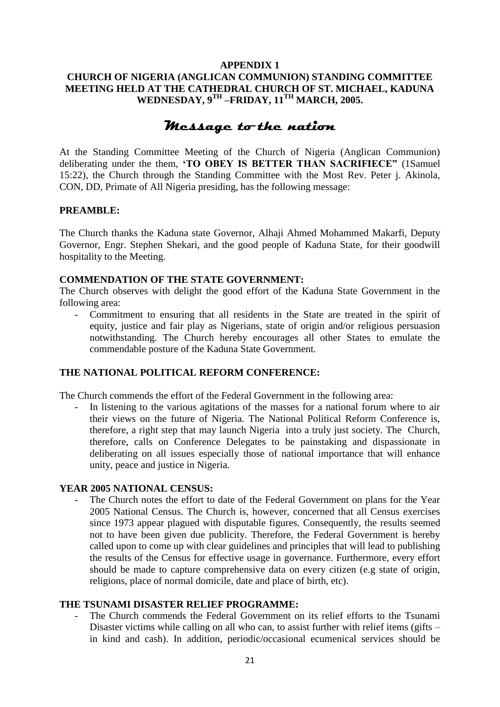# **APPENDIX 1**

# **CHURCH OF NIGERIA (ANGLICAN COMMUNION) STANDING COMMITTEE MEETING HELD AT THE CATHEDRAL CHURCH OF ST. MICHAEL, KADUNA WEDNESDAY, 9TH –FRIDAY, 11TH MARCH, 2005.**

# **Message to the nation**

At the Standing Committee Meeting of the Church of Nigeria (Anglican Communion) deliberating under the them, **"TO OBEY IS BETTER THAN SACRIFIECE"** (1Samuel 15:22), the Church through the Standing Committee with the Most Rev. Peter j. Akinola, CON, DD, Primate of All Nigeria presiding, has the following message:

# **PREAMBLE:**

The Church thanks the Kaduna state Governor, Alhaji Ahmed Mohammed Makarfi, Deputy Governor, Engr. Stephen Shekari, and the good people of Kaduna State, for their goodwill hospitality to the Meeting.

# **COMMENDATION OF THE STATE GOVERNMENT:**

The Church observes with delight the good effort of the Kaduna State Government in the following area:

- Commitment to ensuring that all residents in the State are treated in the spirit of equity, justice and fair play as Nigerians, state of origin and/or religious persuasion notwithstanding. The Church hereby encourages all other States to emulate the commendable posture of the Kaduna State Government.

# **THE NATIONAL POLITICAL REFORM CONFERENCE:**

The Church commends the effort of the Federal Government in the following area:

In listening to the various agitations of the masses for a national forum where to air their views on the future of Nigeria. The National Political Reform Conference is, therefore, a right step that may launch Nigeria into a truly just society. The Church, therefore, calls on Conference Delegates to be painstaking and dispassionate in deliberating on all issues especially those of national importance that will enhance unity, peace and justice in Nigeria.

# **YEAR 2005 NATIONAL CENSUS:**

The Church notes the effort to date of the Federal Government on plans for the Year 2005 National Census. The Church is, however, concerned that all Census exercises since 1973 appear plagued with disputable figures. Consequently, the results seemed not to have been given due publicity. Therefore, the Federal Government is hereby called upon to come up with clear guidelines and principles that will lead to publishing the results of the Census for effective usage in governance. Furthermore, every effort should be made to capture comprehensive data on every citizen (e.g state of origin, religions, place of normal domicile, date and place of birth, etc).

# **THE TSUNAMI DISASTER RELIEF PROGRAMME:**

The Church commends the Federal Government on its relief efforts to the Tsunami Disaster victims while calling on all who can, to assist further with relief items (gifts – in kind and cash). In addition, periodic/occasional ecumenical services should be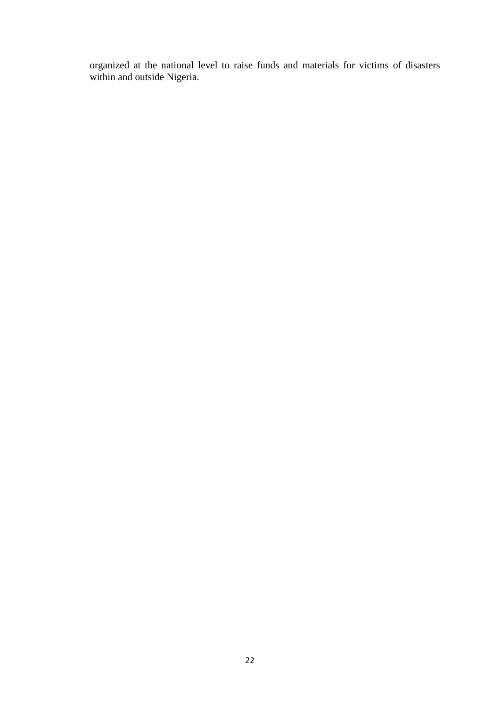organized at the national level to raise funds and materials for victims of disasters within and outside Nigeria.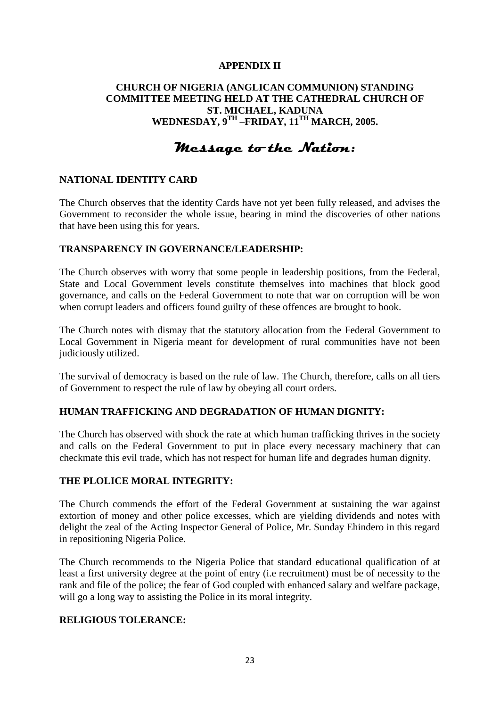# **APPENDIX II**

# **CHURCH OF NIGERIA (ANGLICAN COMMUNION) STANDING COMMITTEE MEETING HELD AT THE CATHEDRAL CHURCH OF ST. MICHAEL, KADUNA WEDNESDAY, 9TH –FRIDAY, 11TH MARCH, 2005.**

# **Message to the Nation:**

# **NATIONAL IDENTITY CARD**

The Church observes that the identity Cards have not yet been fully released, and advises the Government to reconsider the whole issue, bearing in mind the discoveries of other nations that have been using this for years.

# **TRANSPARENCY IN GOVERNANCE/LEADERSHIP:**

The Church observes with worry that some people in leadership positions, from the Federal, State and Local Government levels constitute themselves into machines that block good governance, and calls on the Federal Government to note that war on corruption will be won when corrupt leaders and officers found guilty of these offences are brought to book.

The Church notes with dismay that the statutory allocation from the Federal Government to Local Government in Nigeria meant for development of rural communities have not been judiciously utilized.

The survival of democracy is based on the rule of law. The Church, therefore, calls on all tiers of Government to respect the rule of law by obeying all court orders.

# **HUMAN TRAFFICKING AND DEGRADATION OF HUMAN DIGNITY:**

The Church has observed with shock the rate at which human trafficking thrives in the society and calls on the Federal Government to put in place every necessary machinery that can checkmate this evil trade, which has not respect for human life and degrades human dignity.

# **THE PLOLICE MORAL INTEGRITY:**

The Church commends the effort of the Federal Government at sustaining the war against extortion of money and other police excesses, which are yielding dividends and notes with delight the zeal of the Acting Inspector General of Police, Mr. Sunday Ehindero in this regard in repositioning Nigeria Police.

The Church recommends to the Nigeria Police that standard educational qualification of at least a first university degree at the point of entry (i.e recruitment) must be of necessity to the rank and file of the police; the fear of God coupled with enhanced salary and welfare package, will go a long way to assisting the Police in its moral integrity.

# **RELIGIOUS TOLERANCE:**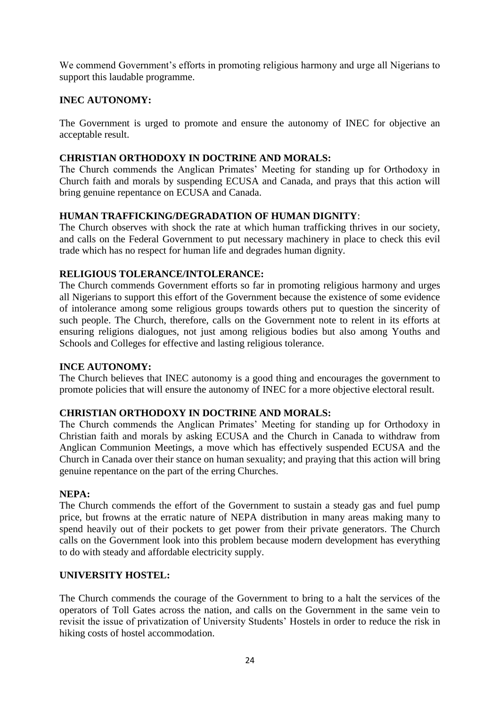We commend Government's efforts in promoting religious harmony and urge all Nigerians to support this laudable programme.

# **INEC AUTONOMY:**

The Government is urged to promote and ensure the autonomy of INEC for objective an acceptable result.

# **CHRISTIAN ORTHODOXY IN DOCTRINE AND MORALS:**

The Church commends the Anglican Primates' Meeting for standing up for Orthodoxy in Church faith and morals by suspending ECUSA and Canada, and prays that this action will bring genuine repentance on ECUSA and Canada.

# **HUMAN TRAFFICKING/DEGRADATION OF HUMAN DIGNITY**:

The Church observes with shock the rate at which human trafficking thrives in our society, and calls on the Federal Government to put necessary machinery in place to check this evil trade which has no respect for human life and degrades human dignity.

# **RELIGIOUS TOLERANCE/INTOLERANCE:**

The Church commends Government efforts so far in promoting religious harmony and urges all Nigerians to support this effort of the Government because the existence of some evidence of intolerance among some religious groups towards others put to question the sincerity of such people. The Church, therefore, calls on the Government note to relent in its efforts at ensuring religions dialogues, not just among religious bodies but also among Youths and Schools and Colleges for effective and lasting religious tolerance.

# **INCE AUTONOMY:**

The Church believes that INEC autonomy is a good thing and encourages the government to promote policies that will ensure the autonomy of INEC for a more objective electoral result.

# **CHRISTIAN ORTHODOXY IN DOCTRINE AND MORALS:**

The Church commends the Anglican Primates' Meeting for standing up for Orthodoxy in Christian faith and morals by asking ECUSA and the Church in Canada to withdraw from Anglican Communion Meetings, a move which has effectively suspended ECUSA and the Church in Canada over their stance on human sexuality; and praying that this action will bring genuine repentance on the part of the erring Churches.

# **NEPA:**

The Church commends the effort of the Government to sustain a steady gas and fuel pump price, but frowns at the erratic nature of NEPA distribution in many areas making many to spend heavily out of their pockets to get power from their private generators. The Church calls on the Government look into this problem because modern development has everything to do with steady and affordable electricity supply.

# **UNIVERSITY HOSTEL:**

The Church commends the courage of the Government to bring to a halt the services of the operators of Toll Gates across the nation, and calls on the Government in the same vein to revisit the issue of privatization of University Students" Hostels in order to reduce the risk in hiking costs of hostel accommodation.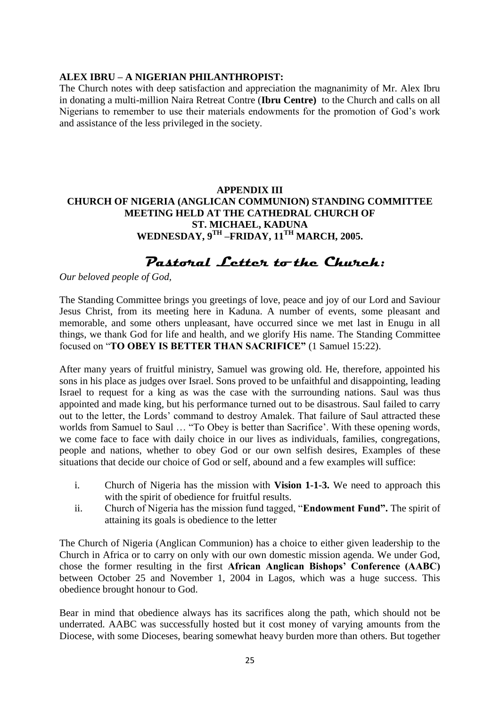# **ALEX IBRU – A NIGERIAN PHILANTHROPIST:**

The Church notes with deep satisfaction and appreciation the magnanimity of Mr. Alex Ibru in donating a multi-million Naira Retreat Contre (**Ibru Centre)** to the Church and calls on all Nigerians to remember to use their materials endowments for the promotion of God"s work and assistance of the less privileged in the society.

# **APPENDIX III CHURCH OF NIGERIA (ANGLICAN COMMUNION) STANDING COMMITTEE MEETING HELD AT THE CATHEDRAL CHURCH OF ST. MICHAEL, KADUNA WEDNESDAY, 9TH –FRIDAY, 11TH MARCH, 2005.**

# **Pastoral Letter to the Church:**

# *Our beloved people of God,*

The Standing Committee brings you greetings of love, peace and joy of our Lord and Saviour Jesus Christ, from its meeting here in Kaduna. A number of events, some pleasant and memorable, and some others unpleasant, have occurred since we met last in Enugu in all things, we thank God for life and health, and we glorify His name. The Standing Committee focused on "**TO OBEY IS BETTER THAN SACRIFICE"** (1 Samuel 15:22).

After many years of fruitful ministry, Samuel was growing old. He, therefore, appointed his sons in his place as judges over Israel. Sons proved to be unfaithful and disappointing, leading Israel to request for a king as was the case with the surrounding nations. Saul was thus appointed and made king, but his performance turned out to be disastrous. Saul failed to carry out to the letter, the Lords" command to destroy Amalek. That failure of Saul attracted these worlds from Samuel to Saul ... "To Obey is better than Sacrifice'. With these opening words, we come face to face with daily choice in our lives as individuals, families, congregations, people and nations, whether to obey God or our own selfish desires, Examples of these situations that decide our choice of God or self, abound and a few examples will suffice:

- i. Church of Nigeria has the mission with **Vision 1-1-3.** We need to approach this with the spirit of obedience for fruitful results.
- ii. Church of Nigeria has the mission fund tagged, "**Endowment Fund".** The spirit of attaining its goals is obedience to the letter

The Church of Nigeria (Anglican Communion) has a choice to either given leadership to the Church in Africa or to carry on only with our own domestic mission agenda. We under God, chose the former resulting in the first **African Anglican Bishops" Conference (AABC)**  between October 25 and November 1, 2004 in Lagos, which was a huge success. This obedience brought honour to God.

Bear in mind that obedience always has its sacrifices along the path, which should not be underrated. AABC was successfully hosted but it cost money of varying amounts from the Diocese, with some Dioceses, bearing somewhat heavy burden more than others. But together